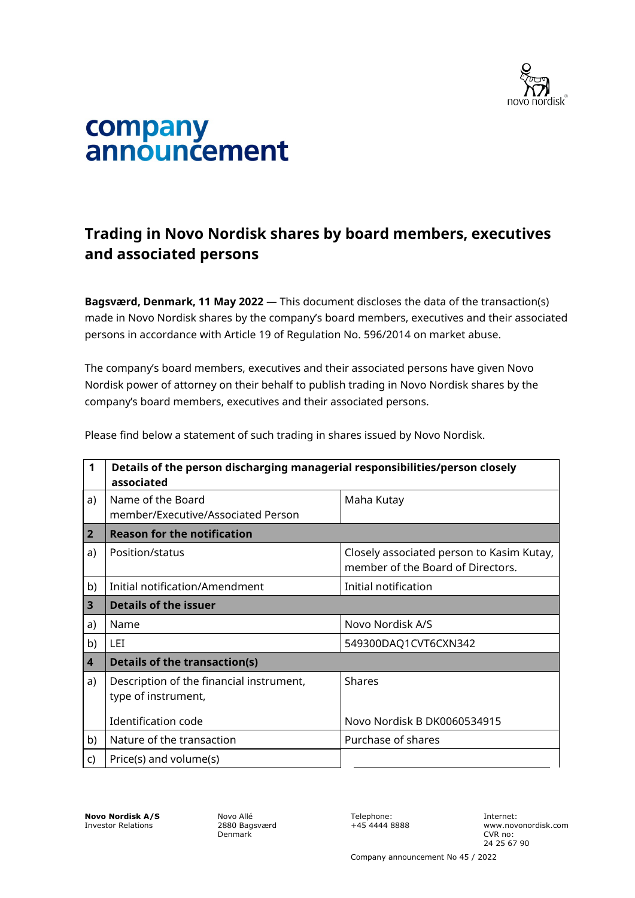

## company<br>announcement

## **Trading in Novo Nordisk shares by board members, executives and associated persons**

**Bagsværd, Denmark, 11 May 2022** — This document discloses the data of the transaction(s) made in Novo Nordisk shares by the company's board members, executives and their associated persons in accordance with Article 19 of Regulation No. 596/2014 on market abuse.

The company's board members, executives and their associated persons have given Novo Nordisk power of attorney on their behalf to publish trading in Novo Nordisk shares by the company's board members, executives and their associated persons.

| 1                       | Details of the person discharging managerial responsibilities/person closely<br>associated |                                                                                |  |
|-------------------------|--------------------------------------------------------------------------------------------|--------------------------------------------------------------------------------|--|
| a)                      | Name of the Board<br>member/Executive/Associated Person                                    | Maha Kutay                                                                     |  |
| $\overline{2}$          | <b>Reason for the notification</b>                                                         |                                                                                |  |
| a)                      | Position/status                                                                            | Closely associated person to Kasim Kutay,<br>member of the Board of Directors. |  |
| b)                      | Initial notification/Amendment                                                             | Initial notification                                                           |  |
| 3                       | Details of the issuer                                                                      |                                                                                |  |
| a)                      | Name                                                                                       | Novo Nordisk A/S                                                               |  |
| b)                      | LET                                                                                        | 549300DAQ1CVT6CXN342                                                           |  |
| $\overline{\mathbf{4}}$ | <b>Details of the transaction(s)</b>                                                       |                                                                                |  |
| a)                      | Description of the financial instrument,<br>type of instrument,                            | <b>Shares</b>                                                                  |  |
|                         | Identification code                                                                        | Novo Nordisk B DK0060534915                                                    |  |
| b)                      | Nature of the transaction                                                                  | Purchase of shares                                                             |  |
| C)                      | Price(s) and volume(s)                                                                     |                                                                                |  |

Please find below a statement of such trading in shares issued by Novo Nordisk.

**Novo Nordisk A/S** Investor Relations

Novo Allé 2880 Bagsværd Denmark

Telephone: +45 4444 8888 Internet: www.novonordisk.com CVR no: 24 25 67 90